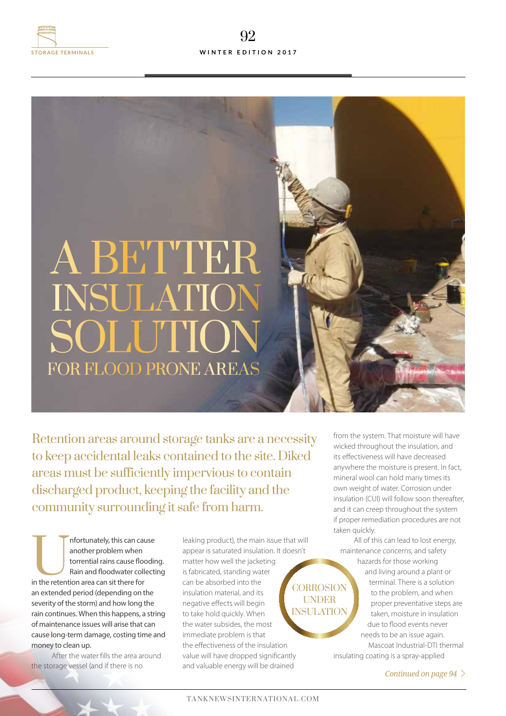

## for flood prone areas **A BETTER SOLUTIO** insulation

Retention areas around storage tanks are a necessity to keep accidental leaks contained to the site. Diked areas must be sufficiently impervious to contain discharged product, keeping the facility and the community surrounding it safe from harm.

Infortunately, this can cause<br>
another problem when<br>
torrential rains cause floodir<br>
Rain and floodwater collecti<br>
in the retention area can sit there for another problem when torrential rains cause flooding. Rain and floodwater collecting an extended period (depending on the severity of the storm) and how long the rain continues. When this happens, a string of maintenance issues will arise that can cause long-term damage, costing time and money to clean up.

After the water fills the area around the storage vessel (and if there is no

leaking product), the main issue that will appear is saturated insulation. It doesn't matter how well the jacketing is fabricated, standing water can be absorbed into the insulation material, and its negative effects will begin to take hold quickly. When the water subsides, the most immediate problem is that the effectiveness of the insulation value will have dropped significantly and valuable energy will be drained **CORROSION** UNDER INSULATION

from the system. That moisture will have wicked throughout the insulation, and its effectiveness will have decreased anywhere the moisture is present. In fact, mineral wool can hold many times its own weight of water. Corrosion under insulation (CUI) will follow soon thereafter, and it can creep throughout the system if proper remediation procedures are not taken quickly.

All of this can lead to lost energy, maintenance concerns, and safety hazards for those working

and living around a plant or terminal. There is a solution to the problem, and when proper preventative steps are taken, moisture in insulation due to flood events never needs to be an issue again. Mascoat Industrial-DTI thermal

insulating coating is a spray-applied